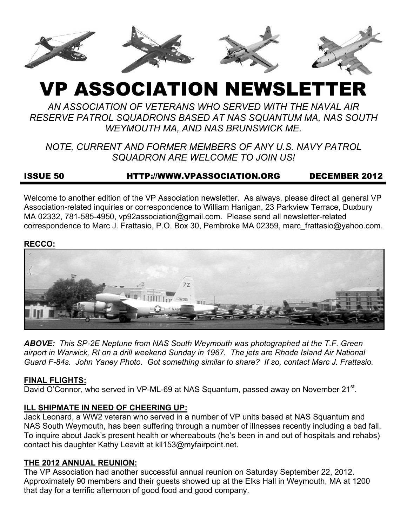

# VP ASSOCIATION NEWSLETTER

*AN ASSOCIATION OF VETERANS WHO SERVED WITH THE NAVAL AIR RESERVE PATROL SQUADRONS BASED AT NAS SQUANTUM MA, NAS SOUTH WEYMOUTH MA, AND NAS BRUNSWICK ME.* 

*NOTE, CURRENT AND FORMER MEMBERS OF ANY U.S. NAVY PATROL SQUADRON ARE WELCOME TO JOIN US!* 

## ISSUE 50 HTTP://WWW.VPASSOCIATION.ORG DECEMBER 2012

Welcome to another edition of the VP Association newsletter. As always, please direct all general VP Association-related inquiries or correspondence to William Hanigan, 23 Parkview Terrace, Duxbury MA 02332, 781-585-4950, vp92association@gmail.com. Please send all newsletter-related correspondence to Marc J. Frattasio, P.O. Box 30, Pembroke MA 02359, marc\_frattasio@yahoo.com.

#### **RECCO:**



*ABOVE: This SP-2E Neptune from NAS South Weymouth was photographed at the T.F. Green airport in Warwick, RI on a drill weekend Sunday in 1967. The jets are Rhode Island Air National Guard F-84s. John Yaney Photo. Got something similar to share? If so, contact Marc J. Frattasio.* 

## **FINAL FLIGHTS:**

David O'Connor, who served in VP-ML-69 at NAS Squantum, passed away on November 21<sup>st</sup>.

## **ILL SHIPMATE IN NEED OF CHEERING UP:**

Jack Leonard, a WW2 veteran who served in a number of VP units based at NAS Squantum and NAS South Weymouth, has been suffering through a number of illnesses recently including a bad fall. To inquire about Jack's present health or whereabouts (he's been in and out of hospitals and rehabs) contact his daughter Kathy Leavitt at kll153@myfairpoint.net.

## **THE 2012 ANNUAL REUNION:**

The VP Association had another successful annual reunion on Saturday September 22, 2012. Approximately 90 members and their guests showed up at the Elks Hall in Weymouth, MA at 1200 that day for a terrific afternoon of good food and good company.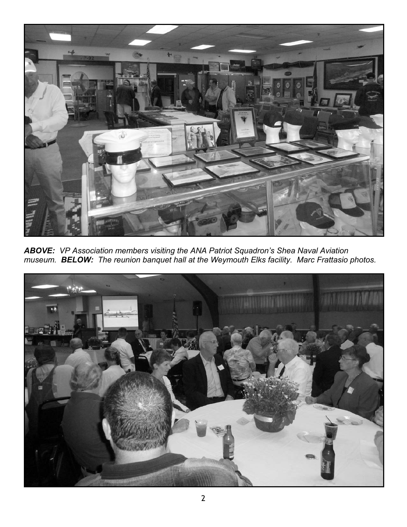

*ABOVE: VP Association members visiting the ANA Patriot Squadron's Shea Naval Aviation museum. BELOW: The reunion banquet hall at the Weymouth Elks facility. Marc Frattasio photos.* 

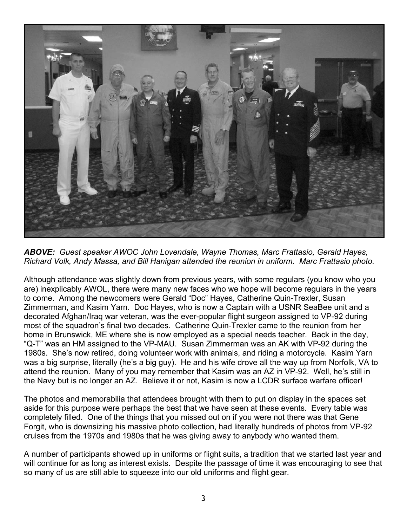

*ABOVE: Guest speaker AWOC John Lovendale, Wayne Thomas, Marc Frattasio, Gerald Hayes, Richard Volk, Andy Massa, and Bill Hanigan attended the reunion in uniform. Marc Frattasio photo.* 

Although attendance was slightly down from previous years, with some regulars (you know who you are) inexplicably AWOL, there were many new faces who we hope will become regulars in the years to come. Among the newcomers were Gerald "Doc" Hayes, Catherine Quin-Trexler, Susan Zimmerman, and Kasim Yarn. Doc Hayes, who is now a Captain with a USNR SeaBee unit and a decorated Afghan/Iraq war veteran, was the ever-popular flight surgeon assigned to VP-92 during most of the squadron's final two decades. Catherine Quin-Trexler came to the reunion from her home in Brunswick, ME where she is now employed as a special needs teacher. Back in the day, "Q-T" was an HM assigned to the VP-MAU. Susan Zimmerman was an AK with VP-92 during the 1980s. She's now retired, doing volunteer work with animals, and riding a motorcycle. Kasim Yarn was a big surprise, literally (he's a big guy). He and his wife drove all the way up from Norfolk, VA to attend the reunion. Many of you may remember that Kasim was an AZ in VP-92. Well, he's still in the Navy but is no longer an AZ. Believe it or not, Kasim is now a LCDR surface warfare officer!

The photos and memorabilia that attendees brought with them to put on display in the spaces set aside for this purpose were perhaps the best that we have seen at these events. Every table was completely filled. One of the things that you missed out on if you were not there was that Gene Forgit, who is downsizing his massive photo collection, had literally hundreds of photos from VP-92 cruises from the 1970s and 1980s that he was giving away to anybody who wanted them.

A number of participants showed up in uniforms or flight suits, a tradition that we started last year and will continue for as long as interest exists. Despite the passage of time it was encouraging to see that so many of us are still able to squeeze into our old uniforms and flight gear.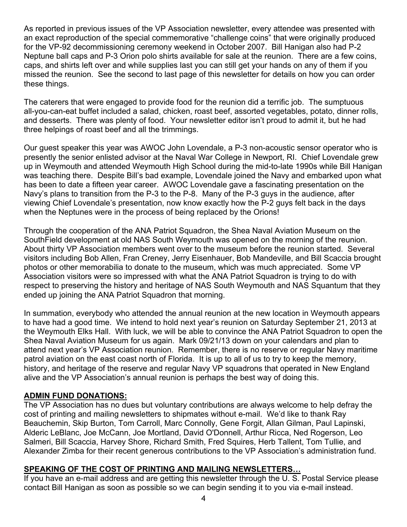As reported in previous issues of the VP Association newsletter, every attendee was presented with an exact reproduction of the special commemorative "challenge coins" that were originally produced for the VP-92 decommissioning ceremony weekend in October 2007. Bill Hanigan also had P-2 Neptune ball caps and P-3 Orion polo shirts available for sale at the reunion. There are a few coins, caps, and shirts left over and while supplies last you can still get your hands on any of them if you missed the reunion. See the second to last page of this newsletter for details on how you can order these things.

The caterers that were engaged to provide food for the reunion did a terrific job. The sumptuous all-you-can-eat buffet included a salad, chicken, roast beef, assorted vegetables, potato, dinner rolls, and desserts. There was plenty of food. Your newsletter editor isn't proud to admit it, but he had three helpings of roast beef and all the trimmings.

Our guest speaker this year was AWOC John Lovendale, a P-3 non-acoustic sensor operator who is presently the senior enlisted advisor at the Naval War College in Newport, RI. Chief Lovendale grew up in Weymouth and attended Weymouth High School during the mid-to-late 1990s while Bill Hanigan was teaching there. Despite Bill's bad example, Lovendale joined the Navy and embarked upon what has been to date a fifteen year career. AWOC Lovendale gave a fascinating presentation on the Navy's plans to transition from the P-3 to the P-8. Many of the P-3 guys in the audience, after viewing Chief Lovendale's presentation, now know exactly how the P-2 guys felt back in the days when the Neptunes were in the process of being replaced by the Orions!

Through the cooperation of the ANA Patriot Squadron, the Shea Naval Aviation Museum on the SouthField development at old NAS South Weymouth was opened on the morning of the reunion. About thirty VP Association members went over to the museum before the reunion started. Several visitors including Bob Allen, Fran Creney, Jerry Eisenhauer, Bob Mandeville, and Bill Scaccia brought photos or other memorabilia to donate to the museum, which was much appreciated. Some VP Association visitors were so impressed with what the ANA Patriot Squadron is trying to do with respect to preserving the history and heritage of NAS South Weymouth and NAS Squantum that they ended up joining the ANA Patriot Squadron that morning.

In summation, everybody who attended the annual reunion at the new location in Weymouth appears to have had a good time. We intend to hold next year's reunion on Saturday September 21, 2013 at the Weymouth Elks Hall. With luck, we will be able to convince the ANA Patriot Squadron to open the Shea Naval Aviation Museum for us again. Mark 09/21/13 down on your calendars and plan to attend next year's VP Association reunion. Remember, there is no reserve or regular Navy maritime patrol aviation on the east coast north of Florida. It is up to all of us to try to keep the memory, history, and heritage of the reserve and regular Navy VP squadrons that operated in New England alive and the VP Association's annual reunion is perhaps the best way of doing this.

## **ADMIN FUND DONATIONS:**

The VP Association has no dues but voluntary contributions are always welcome to help defray the cost of printing and mailing newsletters to shipmates without e-mail. We'd like to thank Ray Beauchemin, Skip Burton, Tom Carroll, Marc Connolly, Gene Forgit, Allan Gilman, Paul Lapinski, Alderic LeBlanc, Joe McCann, Joe Mortland, David O'Donnell, Arthur Ricca, Ned Rogerson, Leo Salmeri, Bill Scaccia, Harvey Shore, Richard Smith, Fred Squires, Herb Tallent, Tom Tullie, and Alexander Zimba for their recent generous contributions to the VP Association's administration fund.

## **SPEAKING OF THE COST OF PRINTING AND MAILING NEWSLETTERS…**

If you have an e-mail address and are getting this newsletter through the U. S. Postal Service please contact Bill Hanigan as soon as possible so we can begin sending it to you via e-mail instead.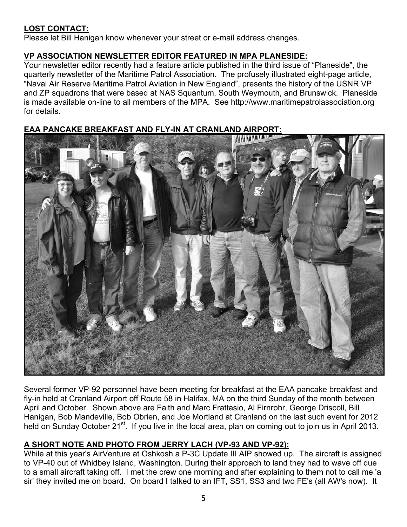## **LOST CONTACT:**

Please let Bill Hanigan know whenever your street or e-mail address changes.

## **VP ASSOCIATION NEWSLETTER EDITOR FEATURED IN MPA PLANESIDE:**

Your newsletter editor recently had a feature article published in the third issue of "Planeside", the quarterly newsletter of the Maritime Patrol Association. The profusely illustrated eight-page article, "Naval Air Reserve Maritime Patrol Aviation in New England", presents the history of the USNR VP and ZP squadrons that were based at NAS Squantum, South Weymouth, and Brunswick. Planeside is made available on-line to all members of the MPA. See http://www.maritimepatrolassociation.org for details.

## **EAA PANCAKE BREAKFAST AND FLY-IN AT CRANLAND AIRPORT:**



Several former VP-92 personnel have been meeting for breakfast at the EAA pancake breakfast and fly-in held at Cranland Airport off Route 58 in Halifax, MA on the third Sunday of the month between April and October. Shown above are Faith and Marc Frattasio, Al Firnrohr, George Driscoll, Bill Hanigan, Bob Mandeville, Bob Obrien, and Joe Mortland at Cranland on the last such event for 2012 held on Sunday October 21<sup>st</sup>. If you live in the local area, plan on coming out to join us in April 2013.

## **A SHORT NOTE AND PHOTO FROM JERRY LACH (VP-93 AND VP-92):**

While at this year's AirVenture at Oshkosh a P-3C Update III AIP showed up. The aircraft is assigned to VP-40 out of Whidbey Island, Washington. During their approach to land they had to wave off due to a small aircraft taking off. I met the crew one morning and after explaining to them not to call me 'a sir' they invited me on board. On board I talked to an IFT, SS1, SS3 and two FE's (all AW's now). It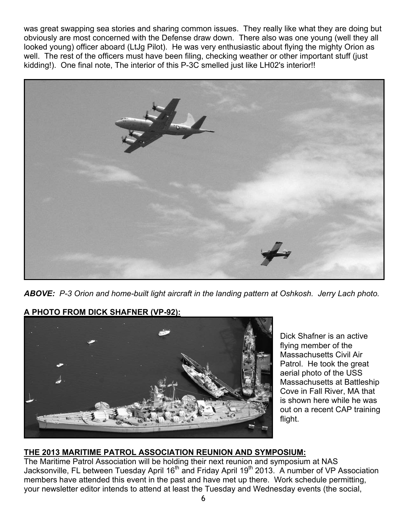was great swapping sea stories and sharing common issues. They really like what they are doing but obviously are most concerned with the Defense draw down. There also was one young (well they all looked young) officer aboard (LtJg Pilot). He was very enthusiastic about flying the mighty Orion as well. The rest of the officers must have been filing, checking weather or other important stuff (just kidding!). One final note, The interior of this P-3C smelled just like LH02's interior!!



*ABOVE: P-3 Orion and home-built light aircraft in the landing pattern at Oshkosh. Jerry Lach photo.* 





Dick Shafner is an active flying member of the Massachusetts Civil Air Patrol. He took the great aerial photo of the USS Massachusetts at Battleship Cove in Fall River, MA that is shown here while he was out on a recent CAP training flight.

## **THE 2013 MARITIME PATROL ASSOCIATION REUNION AND SYMPOSIUM:**

The Maritime Patrol Association will be holding their next reunion and symposium at NAS Jacksonville, FL between Tuesday April 16<sup>th</sup> and Friday April 19<sup>th</sup> 2013. A number of VP Association members have attended this event in the past and have met up there. Work schedule permitting, your newsletter editor intends to attend at least the Tuesday and Wednesday events (the social,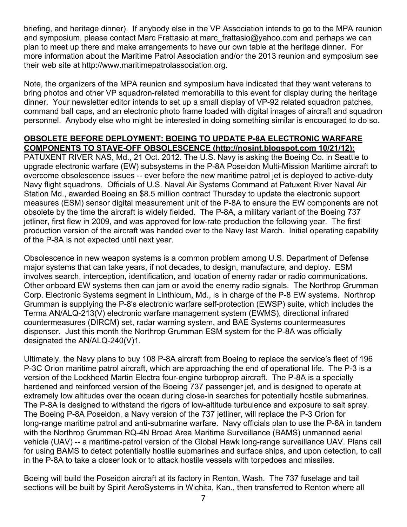briefing, and heritage dinner). If anybody else in the VP Association intends to go to the MPA reunion and symposium, please contact Marc Frattasio at marc\_frattasio@yahoo.com and perhaps we can plan to meet up there and make arrangements to have our own table at the heritage dinner. For more information about the Maritime Patrol Association and/or the 2013 reunion and symposium see their web site at http://www.maritimepatrolassociation.org.

Note, the organizers of the MPA reunion and symposium have indicated that they want veterans to bring photos and other VP squadron-related memorabilia to this event for display during the heritage dinner. Your newsletter editor intends to set up a small display of VP-92 related squadron patches, command ball caps, and an electronic photo frame loaded with digital images of aircraft and squadron personnel. Anybody else who might be interested in doing something similar is encouraged to do so.

#### **OBSOLETE BEFORE DEPLOYMENT: BOEING TO UPDATE P-8A ELECTRONIC WARFARE COMPONENTS TO STAVE-OFF OBSOLESCENCE (http://nosint.blogspot.com 10/21/12):**

PATUXENT RIVER NAS, Md., 21 Oct. 2012. The U.S. Navy is asking the Boeing Co. in Seattle to upgrade electronic warfare (EW) subsystems in the P-8A Poseidon Multi-Mission Maritime aircraft to overcome obsolescence issues -- ever before the new maritime patrol jet is deployed to active-duty Navy flight squadrons. Officials of U.S. Naval Air Systems Command at Patuxent River Naval Air Station Md., awarded Boeing an \$8.5 million contract Thursday to update the electronic support measures (ESM) sensor digital measurement unit of the P-8A to ensure the EW components are not obsolete by the time the aircraft is widely fielded. The P-8A, a military variant of the Boeing 737 jetliner, first flew in 2009, and was approved for low-rate production the following year. The first production version of the aircraft was handed over to the Navy last March. Initial operating capability of the P-8A is not expected until next year.

Obsolescence in new weapon systems is a common problem among U.S. Department of Defense major systems that can take years, if not decades, to design, manufacture, and deploy. ESM involves search, interception, identification, and location of enemy radar or radio communications. Other onboard EW systems then can jam or avoid the enemy radio signals. The Northrop Grumman Corp. Electronic Systems segment in Linthicum, Md., is in charge of the P-8 EW systems. Northrop Grumman is supplying the P-8's electronic warfare self-protection (EWSP) suite, which includes the Terma AN/ALQ-213(V) electronic warfare management system (EWMS), directional infrared countermeasures (DIRCM) set, radar warning system, and BAE Systems countermeasures dispenser. Just this month the Northrop Grumman ESM system for the P-8A was officially designated the AN/ALQ-240(V)1.

Ultimately, the Navy plans to buy 108 P-8A aircraft from Boeing to replace the service's fleet of 196 P-3C Orion maritime patrol aircraft, which are approaching the end of operational life. The P-3 is a version of the Lockheed Martin Electra four-engine turboprop aircraft. The P-8A is a specially hardened and reinforced version of the Boeing 737 passenger jet, and is designed to operate at extremely low altitudes over the ocean during close-in searches for potentially hostile submarines. The P-8A is designed to withstand the rigors of low-altitude turbulence and exposure to salt spray. The Boeing P-8A Poseidon, a Navy version of the 737 jetliner, will replace the P-3 Orion for long-range maritime patrol and anti-submarine warfare. Navy officials plan to use the P-8A in tandem with the Northrop Grumman RQ-4N Broad Area Maritime Surveillance (BAMS) unmanned aerial vehicle (UAV) -- a maritime-patrol version of the Global Hawk long-range surveillance UAV. Plans call for using BAMS to detect potentially hostile submarines and surface ships, and upon detection, to call in the P-8A to take a closer look or to attack hostile vessels with torpedoes and missiles.

Boeing will build the Poseidon aircraft at its factory in Renton, Wash. The 737 fuselage and tail sections will be built by Spirit AeroSystems in Wichita, Kan., then transferred to Renton where all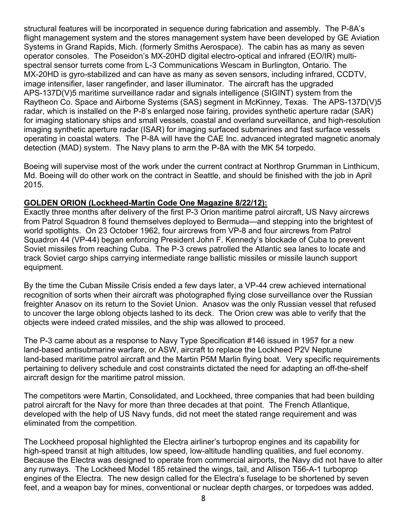structural features will be incorporated in sequence during fabrication and assembly. The P-8A's flight management system and the stores management system have been developed by GE Aviation Systems in Grand Rapids, Mich. (formerly Smiths Aerospace). The cabin has as many as seven operator consoles. The Poseidon's MX-20HD digital electro-optical and infrared (EO/IR) multispectral sensor turrets come from L-3 Communications Wescam in Burlington, Ontario. The MX-20HD is gyro-stabilized and can have as many as seven sensors, including infrared, CCDTV, image intensifier, laser rangefinder, and laser illuminator. The aircraft has the upgraded APS-137D(V)5 maritime surveillance radar and signals intelligence (SIGINT) system from the Raytheon Co. Space and Airborne Systems (SAS) segment in McKinney, Texas. The APS-137D(V)5 radar, which is installed on the P-8's enlarged nose fairing, provides synthetic aperture radar (SAR) for imaging stationary ships and small vessels, coastal and overland surveillance, and high-resolution imaging synthetic aperture radar (ISAR) for imaging surfaced submarines and fast surface vessels operating in coastal waters. The P-8A will have the CAE Inc. advanced integrated magnetic anomaly detection (MAD) system. The Navy plans to arm the P-8A with the MK 54 torpedo.

Boeing will supervise most of the work under the current contract at Northrop Grumman in Linthicum, Md. Boeing will do other work on the contract in Seattle, and should be finished with the job in April 2015.

## **GOLDEN ORION (Lockheed-Martin Code One Magazine 8/22/12):**

Exactly three months after delivery of the first P-3 Orion maritime patrol aircraft, US Navy aircrews from Patrol Squadron 8 found themselves deployed to Bermuda—and stepping into the brightest of world spotlights. On 23 October 1962, four aircrews from VP-8 and four aircrews from Patrol Squadron 44 (VP-44) began enforcing President John F. Kennedy's blockade of Cuba to prevent Soviet missiles from reaching Cuba. The P-3 crews patrolled the Atlantic sea lanes to locate and track Soviet cargo ships carrying intermediate range ballistic missiles or missile launch support equipment.

By the time the Cuban Missile Crisis ended a few days later, a VP-44 crew achieved international recognition of sorts when their aircraft was photographed flying close surveillance over the Russian freighter Anasov on its return to the Soviet Union. Anasov was the only Russian vessel that refused to uncover the large oblong objects lashed to its deck. The Orion crew was able to verify that the objects were indeed crated missiles, and the ship was allowed to proceed.

The P-3 came about as a response to Navy Type Specification #146 issued in 1957 for a new land-based antisubmarine warfare, or ASW, aircraft to replace the Lockheed P2V Neptune land-based maritime patrol aircraft and the Martin P5M Marlin flying boat. Very specific requirements pertaining to delivery schedule and cost constraints dictated the need for adapting an off-the-shelf aircraft design for the maritime patrol mission.

The competitors were Martin, Consolidated, and Lockheed, three companies that had been building patrol aircraft for the Navy for more than three decades at that point. The French Atlantique, developed with the help of US Navy funds, did not meet the stated range requirement and was eliminated from the competition.

The Lockheed proposal highlighted the Electra airliner's turboprop engines and its capability for high-speed transit at high altitudes, low speed, low-altitude handling qualities, and fuel economy. Because the Electra was designed to operate from commercial airports, the Navy did not have to alter any runways. The Lockheed Model 185 retained the wings, tail, and Allison T56-A-1 turboprop engines of the Electra. The new design called for the Electra's fuselage to be shortened by seven feet, and a weapon bay for mines, conventional or nuclear depth charges, or torpedoes was added.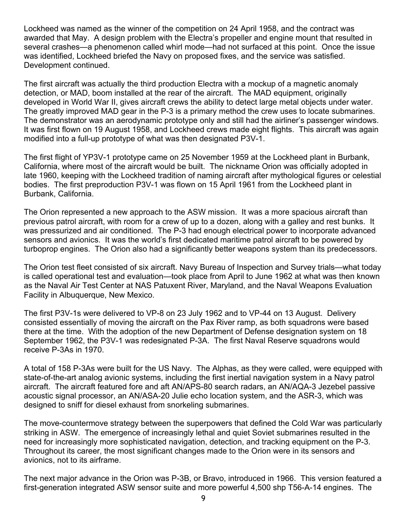Lockheed was named as the winner of the competition on 24 April 1958, and the contract was awarded that May. A design problem with the Electra's propeller and engine mount that resulted in several crashes—a phenomenon called whirl mode—had not surfaced at this point. Once the issue was identified, Lockheed briefed the Navy on proposed fixes, and the service was satisfied. Development continued.

The first aircraft was actually the third production Electra with a mockup of a magnetic anomaly detection, or MAD, boom installed at the rear of the aircraft. The MAD equipment, originally developed in World War II, gives aircraft crews the ability to detect large metal objects under water. The greatly improved MAD gear in the P-3 is a primary method the crew uses to locate submarines. The demonstrator was an aerodynamic prototype only and still had the airliner's passenger windows. It was first flown on 19 August 1958, and Lockheed crews made eight flights. This aircraft was again modified into a full-up prototype of what was then designated P3V-1.

The first flight of YP3V-1 prototype came on 25 November 1959 at the Lockheed plant in Burbank, California, where most of the aircraft would be built. The nickname Orion was officially adopted in late 1960, keeping with the Lockheed tradition of naming aircraft after mythological figures or celestial bodies. The first preproduction P3V-1 was flown on 15 April 1961 from the Lockheed plant in Burbank, California.

The Orion represented a new approach to the ASW mission. It was a more spacious aircraft than previous patrol aircraft, with room for a crew of up to a dozen, along with a galley and rest bunks. It was pressurized and air conditioned. The P-3 had enough electrical power to incorporate advanced sensors and avionics. It was the world's first dedicated maritime patrol aircraft to be powered by turboprop engines. The Orion also had a significantly better weapons system than its predecessors.

The Orion test fleet consisted of six aircraft. Navy Bureau of Inspection and Survey trials—what today is called operational test and evaluation—took place from April to June 1962 at what was then known as the Naval Air Test Center at NAS Patuxent River, Maryland, and the Naval Weapons Evaluation Facility in Albuquerque, New Mexico.

The first P3V-1s were delivered to VP-8 on 23 July 1962 and to VP-44 on 13 August. Delivery consisted essentially of moving the aircraft on the Pax River ramp, as both squadrons were based there at the time. With the adoption of the new Department of Defense designation system on 18 September 1962, the P3V-1 was redesignated P-3A. The first Naval Reserve squadrons would receive P-3As in 1970.

A total of 158 P-3As were built for the US Navy. The Alphas, as they were called, were equipped with state-of-the-art analog avionic systems, including the first inertial navigation system in a Navy patrol aircraft. The aircraft featured fore and aft AN/APS-80 search radars, an AN/AQA-3 Jezebel passive acoustic signal processor, an AN/ASA-20 Julie echo location system, and the ASR-3, which was designed to sniff for diesel exhaust from snorkeling submarines.

The move-countermove strategy between the superpowers that defined the Cold War was particularly striking in ASW. The emergence of increasingly lethal and quiet Soviet submarines resulted in the need for increasingly more sophisticated navigation, detection, and tracking equipment on the P-3. Throughout its career, the most significant changes made to the Orion were in its sensors and avionics, not to its airframe.

The next major advance in the Orion was P-3B, or Bravo, introduced in 1966. This version featured a first-generation integrated ASW sensor suite and more powerful 4,500 shp T56-A-14 engines. The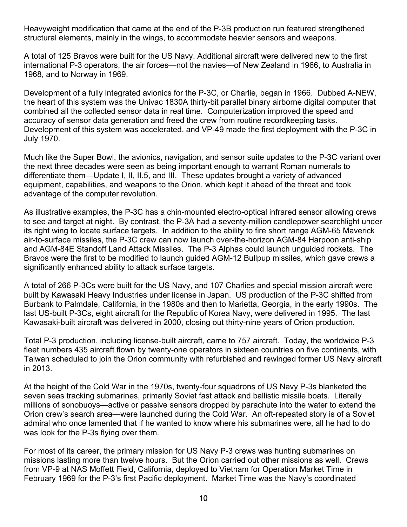Heavyweight modification that came at the end of the P-3B production run featured strengthened structural elements, mainly in the wings, to accommodate heavier sensors and weapons.

A total of 125 Bravos were built for the US Navy. Additional aircraft were delivered new to the first international P-3 operators, the air forces—not the navies—of New Zealand in 1966, to Australia in 1968, and to Norway in 1969.

Development of a fully integrated avionics for the P-3C, or Charlie, began in 1966. Dubbed A-NEW, the heart of this system was the Univac 1830A thirty-bit parallel binary airborne digital computer that combined all the collected sensor data in real time. Computerization improved the speed and accuracy of sensor data generation and freed the crew from routine recordkeeping tasks. Development of this system was accelerated, and VP-49 made the first deployment with the P-3C in July 1970.

Much like the Super Bowl, the avionics, navigation, and sensor suite updates to the P-3C variant over the next three decades were seen as being important enough to warrant Roman numerals to differentiate them—Update I, II, II.5, and III. These updates brought a variety of advanced equipment, capabilities, and weapons to the Orion, which kept it ahead of the threat and took advantage of the computer revolution.

As illustrative examples, the P-3C has a chin-mounted electro-optical infrared sensor allowing crews to see and target at night. By contrast, the P-3A had a seventy-million candlepower searchlight under its right wing to locate surface targets. In addition to the ability to fire short range AGM-65 Maverick air-to-surface missiles, the P-3C crew can now launch over-the-horizon AGM-84 Harpoon anti-ship and AGM-84E Standoff Land Attack Missiles. The P-3 Alphas could launch unguided rockets. The Bravos were the first to be modified to launch guided AGM-12 Bullpup missiles, which gave crews a significantly enhanced ability to attack surface targets.

A total of 266 P-3Cs were built for the US Navy, and 107 Charlies and special mission aircraft were built by Kawasaki Heavy Industries under license in Japan. US production of the P-3C shifted from Burbank to Palmdale, California, in the 1980s and then to Marietta, Georgia, in the early 1990s. The last US-built P-3Cs, eight aircraft for the Republic of Korea Navy, were delivered in 1995. The last Kawasaki-built aircraft was delivered in 2000, closing out thirty-nine years of Orion production.

Total P-3 production, including license-built aircraft, came to 757 aircraft. Today, the worldwide P-3 fleet numbers 435 aircraft flown by twenty-one operators in sixteen countries on five continents, with Taiwan scheduled to join the Orion community with refurbished and rewinged former US Navy aircraft in 2013.

At the height of the Cold War in the 1970s, twenty-four squadrons of US Navy P-3s blanketed the seven seas tracking submarines, primarily Soviet fast attack and ballistic missile boats. Literally millions of sonobuoys—active or passive sensors dropped by parachute into the water to extend the Orion crew's search area—were launched during the Cold War. An oft-repeated story is of a Soviet admiral who once lamented that if he wanted to know where his submarines were, all he had to do was look for the P-3s flying over them.

For most of its career, the primary mission for US Navy P-3 crews was hunting submarines on missions lasting more than twelve hours. But the Orion carried out other missions as well. Crews from VP-9 at NAS Moffett Field, California, deployed to Vietnam for Operation Market Time in February 1969 for the P-3's first Pacific deployment. Market Time was the Navy's coordinated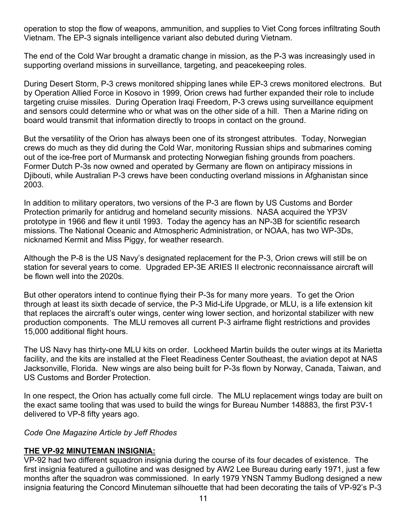operation to stop the flow of weapons, ammunition, and supplies to Viet Cong forces infiltrating South Vietnam. The EP-3 signals intelligence variant also debuted during Vietnam.

The end of the Cold War brought a dramatic change in mission, as the P-3 was increasingly used in supporting overland missions in surveillance, targeting, and peacekeeping roles.

During Desert Storm, P-3 crews monitored shipping lanes while EP-3 crews monitored electrons. But by Operation Allied Force in Kosovo in 1999, Orion crews had further expanded their role to include targeting cruise missiles. During Operation Iraqi Freedom, P-3 crews using surveillance equipment and sensors could determine who or what was on the other side of a hill. Then a Marine riding on board would transmit that information directly to troops in contact on the ground.

But the versatility of the Orion has always been one of its strongest attributes. Today, Norwegian crews do much as they did during the Cold War, monitoring Russian ships and submarines coming out of the ice-free port of Murmansk and protecting Norwegian fishing grounds from poachers. Former Dutch P-3s now owned and operated by Germany are flown on antipiracy missions in Diibouti, while Australian P-3 crews have been conducting overland missions in Afghanistan since 2003.

In addition to military operators, two versions of the P-3 are flown by US Customs and Border Protection primarily for antidrug and homeland security missions. NASA acquired the YP3V prototype in 1966 and flew it until 1993. Today the agency has an NP-3B for scientific research missions. The National Oceanic and Atmospheric Administration, or NOAA, has two WP-3Ds, nicknamed Kermit and Miss Piggy, for weather research.

Although the P-8 is the US Navy's designated replacement for the P-3, Orion crews will still be on station for several years to come. Upgraded EP-3E ARIES II electronic reconnaissance aircraft will be flown well into the 2020s.

But other operators intend to continue flying their P-3s for many more years. To get the Orion through at least its sixth decade of service, the P-3 Mid-Life Upgrade, or MLU, is a life extension kit that replaces the aircraft's outer wings, center wing lower section, and horizontal stabilizer with new production components. The MLU removes all current P-3 airframe flight restrictions and provides 15,000 additional flight hours.

The US Navy has thirty-one MLU kits on order. Lockheed Martin builds the outer wings at its Marietta facility, and the kits are installed at the Fleet Readiness Center Southeast, the aviation depot at NAS Jacksonville, Florida. New wings are also being built for P-3s flown by Norway, Canada, Taiwan, and US Customs and Border Protection.

In one respect, the Orion has actually come full circle. The MLU replacement wings today are built on the exact same tooling that was used to build the wings for Bureau Number 148883, the first P3V-1 delivered to VP-8 fifty years ago.

*Code One Magazine Article by Jeff Rhodes* 

## **THE VP-92 MINUTEMAN INSIGNIA:**

VP-92 had two different squadron insignia during the course of its four decades of existence. The first insignia featured a guillotine and was designed by AW2 Lee Bureau during early 1971, just a few months after the squadron was commissioned. In early 1979 YNSN Tammy Budlong designed a new insignia featuring the Concord Minuteman silhouette that had been decorating the tails of VP-92's P-3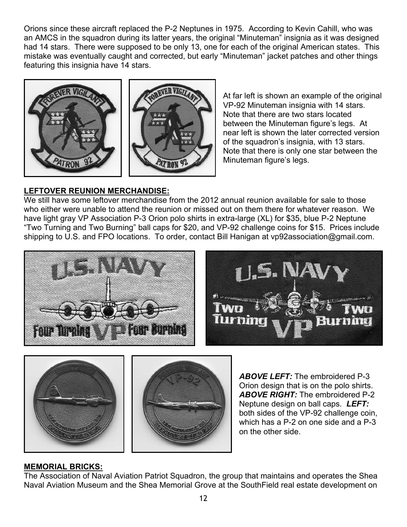Orions since these aircraft replaced the P-2 Neptunes in 1975. According to Kevin Cahill, who was an AMCS in the squadron during its latter years, the original "Minuteman" insignia as it was designed had 14 stars. There were supposed to be only 13, one for each of the original American states. This mistake was eventually caught and corrected, but early "Minuteman" jacket patches and other things featuring this insignia have 14 stars.



At far left is shown an example of the original VP-92 Minuteman insignia with 14 stars. Note that there are two stars located between the Minuteman figure's legs. At near left is shown the later corrected version of the squadron's insignia, with 13 stars. Note that there is only one star between the Minuteman figure's legs.

## **LEFTOVER REUNION MERCHANDISE:**

We still have some leftover merchandise from the 2012 annual reunion available for sale to those who either were unable to attend the reunion or missed out on them there for whatever reason. We have light gray VP Association P-3 Orion polo shirts in extra-large (XL) for \$35, blue P-2 Neptune "Two Turning and Two Burning" ball caps for \$20, and VP-92 challenge coins for \$15. Prices include shipping to U.S. and FPO locations. To order, contact Bill Hanigan at vp92association@gmail.com.





*ABOVE LEFT:* The embroidered P-3 Orion design that is on the polo shirts. *ABOVE RIGHT:* The embroidered P-2 Neptune design on ball caps. *LEFT:* both sides of the VP-92 challenge coin, which has a P-2 on one side and a P-3 on the other side.

## **MEMORIAL BRICKS:**

The Association of Naval Aviation Patriot Squadron, the group that maintains and operates the Shea Naval Aviation Museum and the Shea Memorial Grove at the SouthField real estate development on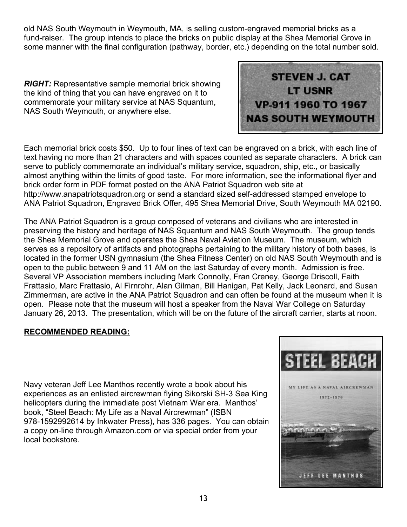old NAS South Weymouth in Weymouth, MA, is selling custom-engraved memorial bricks as a fund-raiser. The group intends to place the bricks on public display at the Shea Memorial Grove in some manner with the final configuration (pathway, border, etc.) depending on the total number sold.

*RIGHT:* Representative sample memorial brick showing the kind of thing that you can have engraved on it to commemorate your military service at NAS Squantum, NAS South Weymouth, or anywhere else.



Each memorial brick costs \$50. Up to four lines of text can be engraved on a brick, with each line of text having no more than 21 characters and with spaces counted as separate characters. A brick can serve to publicly commemorate an individual's military service, squadron, ship, etc., or basically almost anything within the limits of good taste. For more information, see the informational flyer and brick order form in PDF format posted on the ANA Patriot Squadron web site at http://www.anapatriotsquadron.org or send a standard sized self-addressed stamped envelope to ANA Patriot Squadron, Engraved Brick Offer, 495 Shea Memorial Drive, South Weymouth MA 02190.

The ANA Patriot Squadron is a group composed of veterans and civilians who are interested in preserving the history and heritage of NAS Squantum and NAS South Weymouth. The group tends the Shea Memorial Grove and operates the Shea Naval Aviation Museum. The museum, which serves as a repository of artifacts and photographs pertaining to the military history of both bases, is located in the former USN gymnasium (the Shea Fitness Center) on old NAS South Weymouth and is open to the public between 9 and 11 AM on the last Saturday of every month. Admission is free. Several VP Association members including Mark Connolly, Fran Creney, George Driscoll, Faith Frattasio, Marc Frattasio, Al Firnrohr, Alan Gilman, Bill Hanigan, Pat Kelly, Jack Leonard, and Susan Zimmerman, are active in the ANA Patriot Squadron and can often be found at the museum when it is open. Please note that the museum will host a speaker from the Naval War College on Saturday January 26, 2013. The presentation, which will be on the future of the aircraft carrier, starts at noon.

## **RECOMMENDED READING:**

Navy veteran Jeff Lee Manthos recently wrote a book about his experiences as an enlisted aircrewman flying Sikorski SH-3 Sea King helicopters during the immediate post Vietnam War era. Manthos' book, "Steel Beach: My Life as a Naval Aircrewman" (ISBN 978-1592992614 by Inkwater Press), has 336 pages. You can obtain a copy on-line through Amazon.com or via special order from your local bookstore.